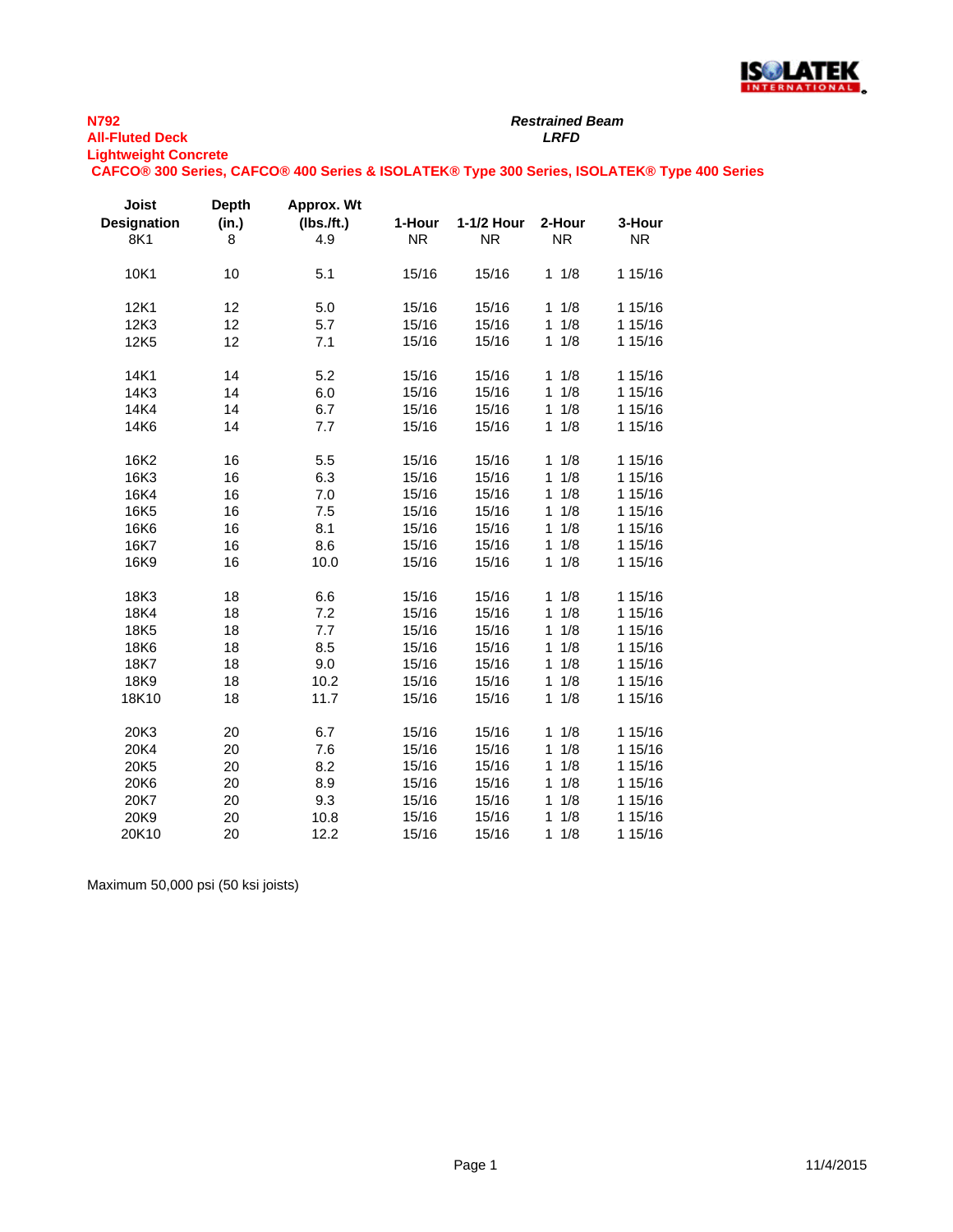

## *Restrained Beam*

**Lightweight Concrete CAFCO® 300 Series, CAFCO® 400 Series & ISOLATEK® Type 300 Series, ISOLATEK® Type 400 Series**

| <b>Joist</b><br><b>Designation</b> | Depth<br>(in.) | Approx. Wt<br>(Ibs./ft.) | 1-Hour    | 1-1/2 Hour | 2-Hour              | 3-Hour    |
|------------------------------------|----------------|--------------------------|-----------|------------|---------------------|-----------|
| 8K1                                | 8              | 4.9                      | <b>NR</b> | <b>NR</b>  | <b>NR</b>           | <b>NR</b> |
| 10K1                               | 10             | 5.1                      | 15/16     | 15/16      | 1/8<br>$\mathbf{1}$ | 1 15/16   |
| 12K1                               | 12             | 5.0                      | 15/16     | 15/16      | 1/8<br>1            | 1 15/16   |
| 12K3                               | 12             | 5.7                      | 15/16     | 15/16      | 1/8<br>$\mathbf{1}$ | 1 15/16   |
| 12K5                               | 12             | 7.1                      | 15/16     | 15/16      | 1/8<br>$\mathbf{1}$ | 1 15/16   |
| 14K1                               | 14             | 5.2                      | 15/16     | 15/16      | 1/8<br>1            | 1 15/16   |
| 14K3                               | 14             | 6.0                      | 15/16     | 15/16      | 1/8<br>$\mathbf{1}$ | 1 15/16   |
| 14K4                               | 14             | 6.7                      | 15/16     | 15/16      | 1/8<br>1            | 1 15/16   |
| 14K6                               | 14             | 7.7                      | 15/16     | 15/16      | 1/8<br>1            | 1 15/16   |
| 16K2                               | 16             | 5.5                      | 15/16     | 15/16      | 1/8<br>$\mathbf{1}$ | 1 15/16   |
| 16K3                               | 16             | 6.3                      | 15/16     | 15/16      | 1/8<br>$\mathbf{1}$ | 1 15/16   |
| 16K4                               | 16             | 7.0                      | 15/16     | 15/16      | 1/8<br>$\mathbf{1}$ | 1 15/16   |
| 16K5                               | 16             | 7.5                      | 15/16     | 15/16      | 1/8<br>1            | 1 15/16   |
| 16K6                               | 16             | 8.1                      | 15/16     | 15/16      | 1/8<br>$\mathbf{1}$ | 1 15/16   |
| 16K7                               | 16             | 8.6                      | 15/16     | 15/16      | 1/8<br>1            | 1 15/16   |
| 16K9                               | 16             | 10.0                     | 15/16     | 15/16      | 1/8<br>$\mathbf{1}$ | 1 15/16   |
| 18K3                               | 18             | 6.6                      | 15/16     | 15/16      | 1/8<br>1            | 1 15/16   |
| 18K4                               | 18             | 7.2                      | 15/16     | 15/16      | 1/8<br>$\mathbf{1}$ | 1 15/16   |
| 18K5                               | 18             | 7.7                      | 15/16     | 15/16      | 1/8<br>1            | 1 15/16   |
| 18K6                               | 18             | 8.5                      | 15/16     | 15/16      | 1/8<br>1            | 1 15/16   |
| 18K7                               | 18             | 9.0                      | 15/16     | 15/16      | 1/8<br>$\mathbf{1}$ | 1 15/16   |
| 18K9                               | 18             | 10.2                     | 15/16     | 15/16      | 1/8<br>1            | 1 15/16   |
| 18K10                              | 18             | 11.7                     | 15/16     | 15/16      | 1/8<br>$\mathbf{1}$ | 1 15/16   |
| 20K3                               | 20             | 6.7                      | 15/16     | 15/16      | 1/8<br>1            | 1 15/16   |
| 20K4                               | 20             | 7.6                      | 15/16     | 15/16      | 1/8<br>1            | 1 15/16   |
| 20K5                               | 20             | 8.2                      | 15/16     | 15/16      | 1/8<br>1            | 1 15/16   |
| 20K6                               | 20             | 8.9                      | 15/16     | 15/16      | 1/8<br>$\mathbf{1}$ | 1 15/16   |
| 20K7                               | 20             | 9.3                      | 15/16     | 15/16      | 1/8<br>1            | 1 15/16   |
| 20K9                               | 20             | 10.8                     | 15/16     | 15/16      | 1/8<br>1            | 1 15/16   |
| 20K10                              | 20             | 12.2                     | 15/16     | 15/16      | $\mathbf{1}$<br>1/8 | 1 15/16   |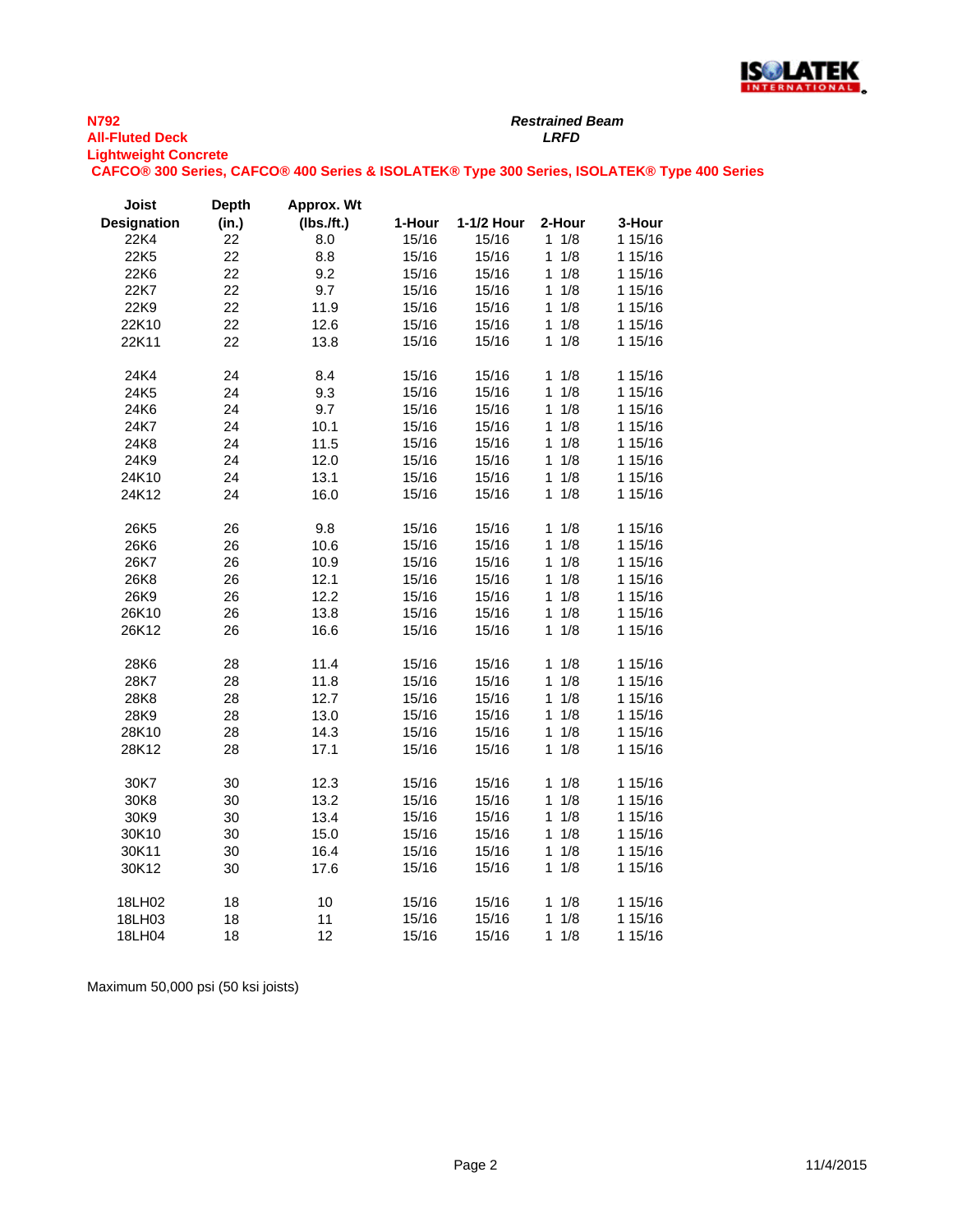

*Restrained Beam*

**Lightweight Concrete**

**CAFCO® 300 Series, CAFCO® 400 Series & ISOLATEK® Type 300 Series, ISOLATEK® Type 400 Series**

| <b>Joist</b>       | <b>Depth</b> | Approx. Wt |        |            |                     |         |
|--------------------|--------------|------------|--------|------------|---------------------|---------|
| <b>Designation</b> | (in.)        | (Ibs.ft.)  | 1-Hour | 1-1/2 Hour | 2-Hour              | 3-Hour  |
| 22K4               | 22           | 8.0        | 15/16  | 15/16      | $1 \t1/8$           | 1 15/16 |
| 22K5               | 22           | 8.8        | 15/16  | 15/16      | 1<br>1/8            | 1 15/16 |
| 22K6               | 22           | 9.2        | 15/16  | 15/16      | 1/8<br>1            | 1 15/16 |
| 22K7               | 22           | 9.7        | 15/16  | 15/16      | 1/8<br>1            | 1 15/16 |
| 22K9               | 22           | 11.9       | 15/16  | 15/16      | 1/8<br>1            | 1 15/16 |
| 22K10              | 22           | 12.6       | 15/16  | 15/16      | 1/8<br>1            | 1 15/16 |
| 22K11              | 22           | 13.8       | 15/16  | 15/16      | 1/8<br>1            | 1 15/16 |
| 24K4               | 24           | 8.4        | 15/16  | 15/16      | 1/8<br>1            | 1 15/16 |
| 24K5               | 24           | 9.3        | 15/16  | 15/16      | 1<br>1/8            | 1 15/16 |
| 24K6               | 24           | 9.7        | 15/16  | 15/16      | 1/8<br>1            | 1 15/16 |
| 24K7               | 24           | 10.1       | 15/16  | 15/16      | 1<br>1/8            | 1 15/16 |
| 24K8               | 24           | 11.5       | 15/16  | 15/16      | 1/8<br>1            | 1 15/16 |
| 24K9               | 24           | 12.0       | 15/16  | 15/16      | 1/8<br>$\mathbf{1}$ | 1 15/16 |
| 24K10              | 24           | 13.1       | 15/16  | 15/16      | 1/8<br>1            | 1 15/16 |
| 24K12              | 24           | 16.0       | 15/16  | 15/16      | 1/8<br>1            | 1 15/16 |
| 26K5               | 26           | 9.8        | 15/16  | 15/16      | 1/8<br>1            | 1 15/16 |
| 26K6               | 26           | 10.6       | 15/16  | 15/16      | 1/8<br>1            | 1 15/16 |
| 26K7               | 26           | 10.9       | 15/16  | 15/16      | 1/8<br>1            | 1 15/16 |
| 26K8               | 26           | 12.1       | 15/16  | 15/16      | 1/8<br>1            | 1 15/16 |
| 26K9               | 26           | 12.2       | 15/16  | 15/16      | 1/8<br>1            | 1 15/16 |
| 26K10              | 26           | 13.8       | 15/16  | 15/16      | 1/8<br>1            | 1 15/16 |
| 26K12              | 26           | 16.6       | 15/16  | 15/16      | 1<br>1/8            | 1 15/16 |
| 28K6               | 28           | 11.4       | 15/16  | 15/16      | 1/8<br>1            | 1 15/16 |
| 28K7               | 28           | 11.8       | 15/16  | 15/16      | 1/8<br>1            | 1 15/16 |
| 28K8               | 28           | 12.7       | 15/16  | 15/16      | 1<br>1/8            | 1 15/16 |
| 28K9               | 28           | 13.0       | 15/16  | 15/16      | 1/8<br>1            | 1 15/16 |
| 28K10              | 28           | 14.3       | 15/16  | 15/16      | 1/8<br>1            | 1 15/16 |
| 28K12              | 28           | 17.1       | 15/16  | 15/16      | 1/8<br>1            | 1 15/16 |
| 30K7               | 30           | 12.3       | 15/16  | 15/16      | 1/8<br>1            | 1 15/16 |
| 30K8               | 30           | 13.2       | 15/16  | 15/16      | 1/8<br>1            | 1 15/16 |
| 30K9               | 30           | 13.4       | 15/16  | 15/16      | 1/8<br>1            | 1 15/16 |
| 30K10              | 30           | 15.0       | 15/16  | 15/16      | 1<br>1/8            | 1 15/16 |
| 30K11              | 30           | 16.4       | 15/16  | 15/16      | 1/8<br>1            | 1 15/16 |
| 30K12              | 30           | 17.6       | 15/16  | 15/16      | 1<br>1/8            | 1 15/16 |
| 18LH02             | 18           | 10         | 15/16  | 15/16      | 1/8<br>1            | 1 15/16 |
| 18LH03             | 18           | 11         | 15/16  | 15/16      | 1<br>1/8            | 1 15/16 |
| 18LH04             | 18           | 12         | 15/16  | 15/16      | 1/8<br>1            | 1 15/16 |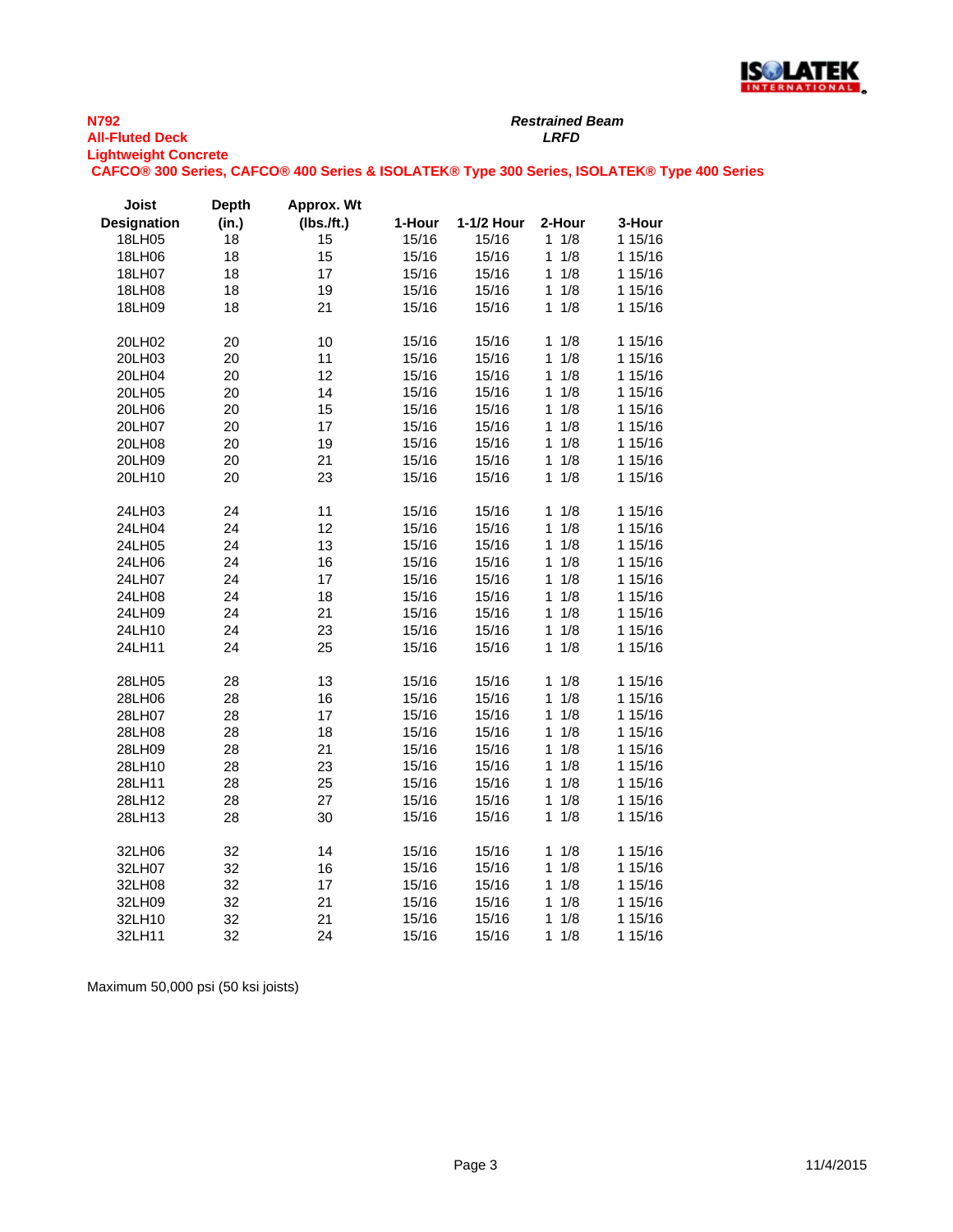

*Restrained Beam*

**Lightweight Concrete**

**CAFCO® 300 Series, CAFCO® 400 Series & ISOLATEK® Type 300 Series, ISOLATEK® Type 400 Series**

| Joist       | <b>Depth</b> | Approx. Wt    |        |            |                     |         |
|-------------|--------------|---------------|--------|------------|---------------------|---------|
| Designation | (in.)        | $(Ibs.$ /ft.) | 1-Hour | 1-1/2 Hour | 2-Hour              | 3-Hour  |
| 18LH05      | 18           | 15            | 15/16  | 15/16      | 1/8<br>1            | 1 15/16 |
| 18LH06      | 18           | 15            | 15/16  | 15/16      | 1<br>1/8            | 1 15/16 |
| 18LH07      | 18           | 17            | 15/16  | 15/16      | 1<br>1/8            | 1 15/16 |
| 18LH08      | 18           | 19            | 15/16  | 15/16      | 1/8<br>1            | 1 15/16 |
| 18LH09      | 18           | 21            | 15/16  | 15/16      | 1/8<br>1            | 1 15/16 |
| 20LH02      | 20           | 10            | 15/16  | 15/16      | 1/8<br>1            | 1 15/16 |
| 20LH03      | 20           | 11            | 15/16  | 15/16      | 1<br>1/8            | 1 15/16 |
| 20LH04      | 20           | 12            | 15/16  | 15/16      | 1/8<br>$\mathbf{1}$ | 1 15/16 |
| 20LH05      | 20           | 14            | 15/16  | 15/16      | 1<br>1/8            | 1 15/16 |
| 20LH06      | 20           | 15            | 15/16  | 15/16      | 1/8<br>1            | 1 15/16 |
| 20LH07      | 20           | 17            | 15/16  | 15/16      | 1/8<br>1            | 1 15/16 |
| 20LH08      | 20           | 19            | 15/16  | 15/16      | 1/8<br>1            | 1 15/16 |
| 20LH09      | 20           | 21            | 15/16  | 15/16      | 1/8<br>1            | 1 15/16 |
| 20LH10      | 20           | 23            | 15/16  | 15/16      | 1/8<br>1            | 1 15/16 |
| 24LH03      | 24           | 11            | 15/16  | 15/16      | 1<br>1/8            | 1 15/16 |
| 24LH04      | 24           | 12            | 15/16  | 15/16      | 1/8<br>$\mathbf 1$  | 1 15/16 |
| 24LH05      | 24           | 13            | 15/16  | 15/16      | 1/8<br>$\mathbf{1}$ | 1 15/16 |
| 24LH06      | 24           | 16            | 15/16  | 15/16      | 1/8<br>1            | 1 15/16 |
| 24LH07      | 24           | 17            | 15/16  | 15/16      | 1/8<br>1            | 1 15/16 |
| 24LH08      | 24           | 18            | 15/16  | 15/16      | $\mathbf{1}$<br>1/8 | 1 15/16 |
| 24LH09      | 24           | 21            | 15/16  | 15/16      | 1/8<br>$\mathbf{1}$ | 1 15/16 |
| 24LH10      | 24           | 23            | 15/16  | 15/16      | 1<br>1/8            | 1 15/16 |
| 24LH11      | 24           | 25            | 15/16  | 15/16      | 1/8<br>1            | 1 15/16 |
| 28LH05      | 28           | 13            | 15/16  | 15/16      | 1/8<br>1            | 1 15/16 |
| 28LH06      | 28           | 16            | 15/16  | 15/16      | 1/8<br>1            | 1 15/16 |
| 28LH07      | 28           | 17            | 15/16  | 15/16      | 1/8<br>1            | 1 15/16 |
| 28LH08      | 28           | 18            | 15/16  | 15/16      | 1/8<br>1            | 1 15/16 |
| 28LH09      | 28           | 21            | 15/16  | 15/16      | 1<br>1/8            | 1 15/16 |
| 28LH10      | 28           | 23            | 15/16  | 15/16      | 1/8<br>1            | 1 15/16 |
| 28LH11      | 28           | 25            | 15/16  | 15/16      | 1/8<br>1            | 1 15/16 |
| 28LH12      | 28           | 27            | 15/16  | 15/16      | 1<br>1/8            | 1 15/16 |
| 28LH13      | 28           | 30            | 15/16  | 15/16      | 1/8<br>1            | 1 15/16 |
| 32LH06      | 32           | 14            | 15/16  | 15/16      | 1/8<br>1            | 1 15/16 |
| 32LH07      | 32           | 16            | 15/16  | 15/16      | 1/8<br>1            | 1 15/16 |
| 32LH08      | 32           | 17            | 15/16  | 15/16      | 1/8<br>1            | 1 15/16 |
| 32LH09      | 32           | 21            | 15/16  | 15/16      | 1/8<br>1            | 1 15/16 |
| 32LH10      | 32           | 21            | 15/16  | 15/16      | 1<br>1/8            | 1 15/16 |
| 32LH11      | 32           | 24            | 15/16  | 15/16      | 1/8<br>1            | 1 15/16 |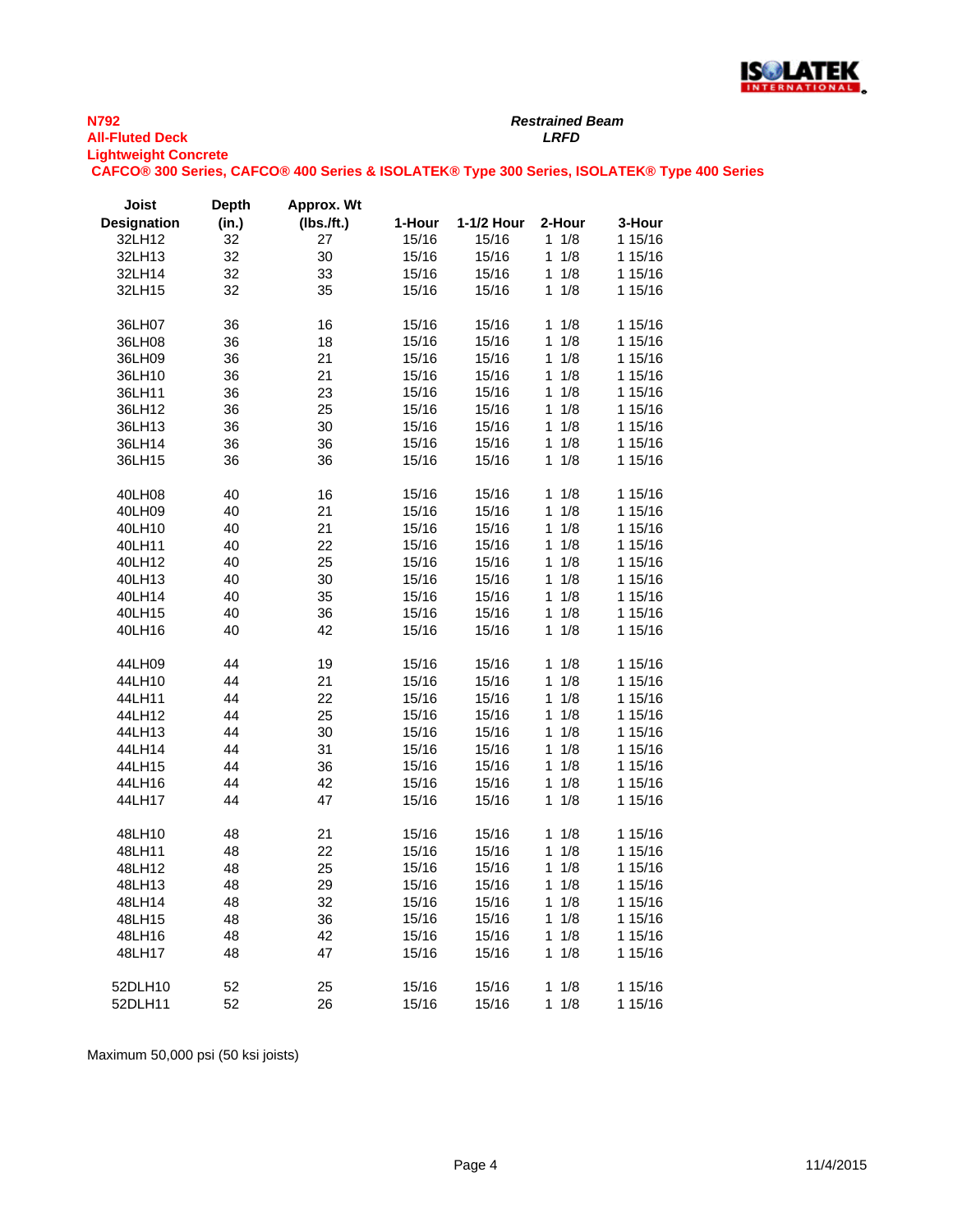

*Restrained Beam*

**Lightweight Concrete**

**CAFCO® 300 Series, CAFCO® 400 Series & ISOLATEK® Type 300 Series, ISOLATEK® Type 400 Series**

| Joist              | <b>Depth</b> | Approx. Wt |        |            |                     |         |
|--------------------|--------------|------------|--------|------------|---------------------|---------|
| <b>Designation</b> | (in.)        | (IbsJft.)  | 1-Hour | 1-1/2 Hour | 2-Hour              | 3-Hour  |
| 32LH12             | 32           | 27         | 15/16  | 15/16      | $1 \t1/8$           | 1 15/16 |
| 32LH13             | 32           | 30         | 15/16  | 15/16      | 1/8<br>1            | 1 15/16 |
| 32LH14             | 32           | 33         | 15/16  | 15/16      | 1/8<br>1            | 1 15/16 |
| 32LH15             | 32           | 35         | 15/16  | 15/16      | 1/8<br>$\mathbf{1}$ | 1 15/16 |
| 36LH07             | 36           | 16         | 15/16  | 15/16      | $1 \t1/8$           | 1 15/16 |
| 36LH08             | 36           | 18         | 15/16  | 15/16      | 1/8<br>1            | 1 15/16 |
| 36LH09             | 36           | 21         | 15/16  | 15/16      | 1/8<br>1            | 1 15/16 |
| 36LH10             | 36           | 21         | 15/16  | 15/16      | 1/8<br>1            | 1 15/16 |
| 36LH11             | 36           | 23         | 15/16  | 15/16      | 1/8<br>1            | 1 15/16 |
| 36LH12             | 36           | 25         | 15/16  | 15/16      | 1/8<br>1            | 1 15/16 |
| 36LH13             | 36           | 30         | 15/16  | 15/16      | 1/8<br>1            | 1 15/16 |
| 36LH14             | 36           | 36         | 15/16  | 15/16      | 1/8<br>1            | 1 15/16 |
| 36LH15             | 36           | 36         | 15/16  | 15/16      | 1/8<br>$\mathbf{1}$ | 1 15/16 |
| 40LH08             | 40           | 16         | 15/16  | 15/16      | $1 \t1/8$           | 1 15/16 |
| 40LH09             | 40           | 21         | 15/16  | 15/16      | 1/8<br>1            | 1 15/16 |
| 40LH10             | 40           | 21         | 15/16  | 15/16      | 1/8<br>1            | 1 15/16 |
| 40LH11             | 40           | 22         | 15/16  | 15/16      | 1/8<br>1            | 1 15/16 |
| 40LH12             | 40           | 25         | 15/16  | 15/16      | 1/8<br>1            | 1 15/16 |
| 40LH13             | 40           | 30         | 15/16  | 15/16      | 1/8<br>1            | 1 15/16 |
| 40LH14             | 40           | 35         | 15/16  | 15/16      | $\mathbf{1}$<br>1/8 | 1 15/16 |
| 40LH15             | 40           | 36         | 15/16  | 15/16      | 1/8<br>1            | 1 15/16 |
| 40LH16             | 40           | 42         | 15/16  | 15/16      | 1/8<br>1            | 1 15/16 |
| 44LH09             | 44           | 19         | 15/16  | 15/16      | 1<br>1/8            | 1 15/16 |
| 44LH10             | 44           | 21         | 15/16  | 15/16      | 1/8<br>1            | 1 15/16 |
| 44LH11             | 44           | 22         | 15/16  | 15/16      | 1/8<br>1            | 1 15/16 |
| 44LH12             | 44           | 25         | 15/16  | 15/16      | 1/8<br>1            | 1 15/16 |
| 44LH13             | 44           | 30         | 15/16  | 15/16      | 1/8<br>1            | 1 15/16 |
| 44LH14             | 44           | 31         | 15/16  | 15/16      | 1/8<br>1            | 1 15/16 |
| 44LH15             | 44           | 36         | 15/16  | 15/16      | 1/8<br>1            | 1 15/16 |
| 44LH16             | 44           | 42         | 15/16  | 15/16      | 1<br>1/8            | 1 15/16 |
| 44LH17             | 44           | 47         | 15/16  | 15/16      | 1/8<br>$\mathbf{1}$ | 1 15/16 |
| 48LH10             | 48           | 21         | 15/16  | 15/16      | 1/8<br>1            | 1 15/16 |
| 48LH11             | 48           | 22         | 15/16  | 15/16      | 1/8<br>1            | 1 15/16 |
| 48LH12             | 48           | 25         | 15/16  | 15/16      | 1/8<br>1            | 1 15/16 |
| 48LH13             | 48           | 29         | 15/16  | 15/16      | $1 \t1/8$           | 1 15/16 |
| 48LH14             | 48           | 32         | 15/16  | 15/16      | $1 \t1/8$           | 1 15/16 |
| 48LH15             | 48           | 36         | 15/16  | 15/16      | 1/8<br>1            | 1 15/16 |
| 48LH16             | 48           | 42         | 15/16  | 15/16      | 1/8<br>1            | 1 15/16 |
| 48LH17             | 48           | 47         | 15/16  | 15/16      | 1/8<br>$\mathbf{1}$ | 1 15/16 |
| 52DLH10            | 52           | 25         | 15/16  | 15/16      | $1 \t1/8$           | 1 15/16 |
| 52DLH11            | 52           | 26         | 15/16  | 15/16      | $1 \t1/8$           | 1 15/16 |